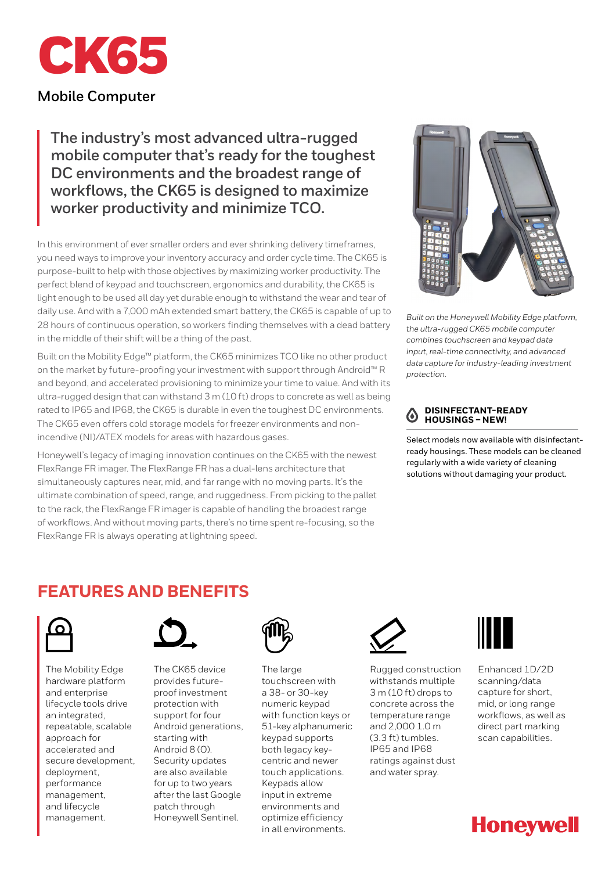

# **Mobile Computer**

**The industry's most advanced ultra-rugged mobile computer that's ready for the toughest DC environments and the broadest range of workflows, the CK65 is designed to maximize worker productivity and minimize TCO.**

In this environment of ever smaller orders and ever shrinking delivery timeframes, you need ways to improve your inventory accuracy and order cycle time. The CK65 is purpose-built to help with those objectives by maximizing worker productivity. The perfect blend of keypad and touchscreen, ergonomics and durability, the CK65 is light enough to be used all day yet durable enough to withstand the wear and tear of daily use. And with a 7,000 mAh extended smart battery, the CK65 is capable of up to 28 hours of continuous operation, so workers finding themselves with a dead battery in the middle of their shift will be a thing of the past.

Built on the Mobility Edge™ platform, the CK65 minimizes TCO like no other product on the market by future-proofing your investment with support through Android™ R and beyond, and accelerated provisioning to minimize your time to value. And with its ultra-rugged design that can withstand 3 m (10 ft) drops to concrete as well as being rated to IP65 and IP68, the CK65 is durable in even the toughest DC environments. The CK65 even offers cold storage models for freezer environments and nonincendive (NI)/ATEX models for areas with hazardous gases.

Honeywell's legacy of imaging innovation continues on the CK65 with the newest FlexRange FR imager. The FlexRange FR has a dual-lens architecture that simultaneously captures near, mid, and far range with no moving parts. It's the ultimate combination of speed, range, and ruggedness. From picking to the pallet to the rack, the FlexRange FR imager is capable of handling the broadest range of workflows. And without moving parts, there's no time spent re-focusing, so the FlexRange FR is always operating at lightning speed.



*Built on the Honeywell Mobility Edge platform, the ultra-rugged CK65 mobile computer combines touchscreen and keypad data input, real-time connectivity, and advanced data capture for industry-leading investment protection.*

### **DISINFECTANT-READY**   $\omega$ **HOUSINGS – NEW!**

Select models now available with disinfectantready housings. These models can be cleaned regularly with a wide variety of cleaning solutions without damaging your product.

# **FEATURES AND BENEFITS**



The Mobility Edge hardware platform and enterprise lifecycle tools drive an integrated, repeatable, scalable approach for accelerated and secure development, deployment, performance management, and lifecycle management.



The CK65 device provides futureproof investment protection with support for four Android generations, starting with Android 8 (O). Security updates are also available for up to two years after the last Google patch through Honeywell Sentinel.



The large touchscreen with a 38- or 30-key numeric keypad with function keys or 51-key alphanumeric keypad supports both legacy keycentric and newer touch applications. Keypads allow input in extreme environments and optimize efficiency in all environments.



Rugged construction withstands multiple 3 m (10 ft) drops to concrete across the temperature range and 2,000 1.0 m (3.3 ft) tumbles. IP65 and IP68 ratings against dust and water spray.



Enhanced 1D/2D scanning/data capture for short, mid, or long range workflows, as well as direct part marking scan capabilities.